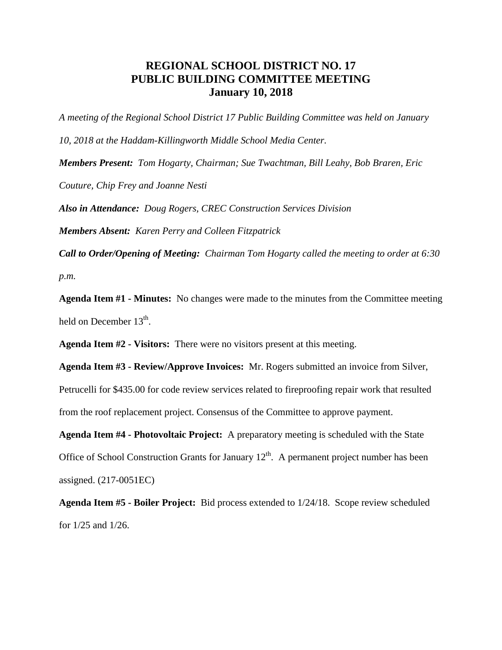## **REGIONAL SCHOOL DISTRICT NO. 17 PUBLIC BUILDING COMMITTEE MEETING January 10, 2018**

*A meeting of the Regional School District 17 Public Building Committee was held on January 10, 2018 at the Haddam-Killingworth Middle School Media Center. Members Present: Tom Hogarty, Chairman; Sue Twachtman, Bill Leahy, Bob Braren, Eric Couture, Chip Frey and Joanne Nesti Also in Attendance: Doug Rogers, CREC Construction Services Division Members Absent: Karen Perry and Colleen Fitzpatrick*

*Call to Order/Opening of Meeting: Chairman Tom Hogarty called the meeting to order at 6:30 p.m.*

**Agenda Item #1 - Minutes:** No changes were made to the minutes from the Committee meeting held on December  $13^{\text{th}}$ .

**Agenda Item #2 - Visitors:** There were no visitors present at this meeting.

**Agenda Item #3 - Review/Approve Invoices:** Mr. Rogers submitted an invoice from Silver,

Petrucelli for \$435.00 for code review services related to fireproofing repair work that resulted from the roof replacement project. Consensus of the Committee to approve payment.

**Agenda Item #4 - Photovoltaic Project:** A preparatory meeting is scheduled with the State Office of School Construction Grants for January  $12<sup>th</sup>$ . A permanent project number has been assigned. (217-0051EC)

**Agenda Item #5 - Boiler Project:** Bid process extended to 1/24/18. Scope review scheduled for 1/25 and 1/26.